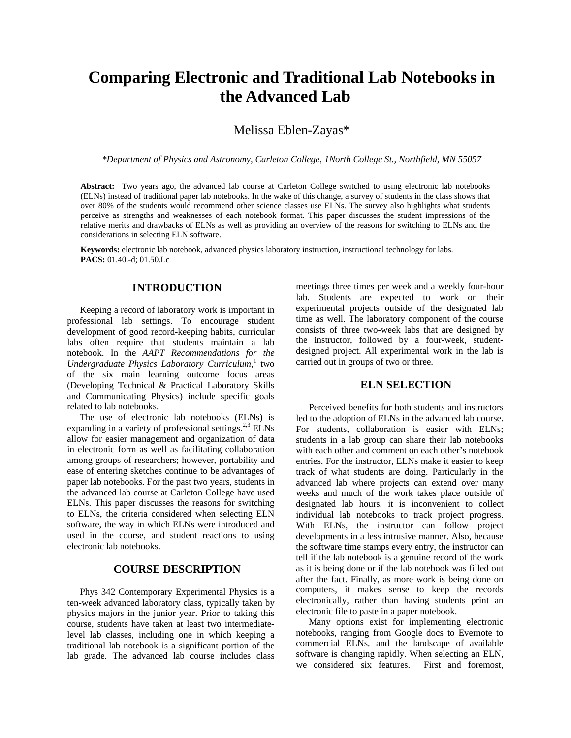# **Comparing Electronic and Traditional Lab Notebooks in the Advanced Lab**

# Melissa Eblen-Zayas\*

*\*Department of Physics and Astronomy, Carleton College, 1North College St., Northfield, MN 55057* 

**Abstract:** Two years ago, the advanced lab course at Carleton College switched to using electronic lab notebooks (ELNs) instead of traditional paper lab notebooks. In the wake of this change, a survey of students in the class shows that over 80% of the students would recommend other science classes use ELNs. The survey also highlights what students perceive as strengths and weaknesses of each notebook format. This paper discusses the student impressions of the relative merits and drawbacks of ELNs as well as providing an overview of the reasons for switching to ELNs and the considerations in selecting ELN software.

**Keywords:** electronic lab notebook, advanced physics laboratory instruction, instructional technology for labs. **PACS:** 01.40.-d; 01.50.Lc

## **INTRODUCTION**

Keeping a record of laboratory work is important in professional lab settings. To encourage student development of good record-keeping habits, curricular labs often require that students maintain a lab notebook. In the *AAPT Recommendations for the Undergraduate Physics Laboratory Curriculum*, 1 two of the six main learning outcome focus areas (Developing Technical & Practical Laboratory Skills and Communicating Physics) include specific goals related to lab notebooks.

The use of electronic lab notebooks (ELNs) is expanding in a variety of professional settings. $^{2,3}$  ELNs allow for easier management and organization of data in electronic form as well as facilitating collaboration among groups of researchers; however, portability and ease of entering sketches continue to be advantages of paper lab notebooks. For the past two years, students in the advanced lab course at Carleton College have used ELNs. This paper discusses the reasons for switching to ELNs, the criteria considered when selecting ELN software, the way in which ELNs were introduced and used in the course, and student reactions to using electronic lab notebooks.

## **COURSE DESCRIPTION**

Phys 342 Contemporary Experimental Physics is a ten-week advanced laboratory class, typically taken by physics majors in the junior year. Prior to taking this course, students have taken at least two intermediatelevel lab classes, including one in which keeping a traditional lab notebook is a significant portion of the lab grade. The advanced lab course includes class

meetings three times per week and a weekly four-hour lab. Students are expected to work on their experimental projects outside of the designated lab time as well. The laboratory component of the course consists of three two-week labs that are designed by the instructor, followed by a four-week, studentdesigned project. All experimental work in the lab is carried out in groups of two or three.

## **ELN SELECTION**

Perceived benefits for both students and instructors led to the adoption of ELNs in the advanced lab course. For students, collaboration is easier with ELNs; students in a lab group can share their lab notebooks with each other and comment on each other's notebook entries. For the instructor, ELNs make it easier to keep track of what students are doing. Particularly in the advanced lab where projects can extend over many weeks and much of the work takes place outside of designated lab hours, it is inconvenient to collect individual lab notebooks to track project progress. With ELNs, the instructor can follow project developments in a less intrusive manner. Also, because the software time stamps every entry, the instructor can tell if the lab notebook is a genuine record of the work as it is being done or if the lab notebook was filled out after the fact. Finally, as more work is being done on computers, it makes sense to keep the records electronically, rather than having students print an electronic file to paste in a paper notebook.

Many options exist for implementing electronic notebooks, ranging from Google docs to Evernote to commercial ELNs, and the landscape of available software is changing rapidly. When selecting an ELN, we considered six features. First and foremost,

<sup>2015</sup> BFY Proceedings, edited by Eblen-Zayas,Behringer, and Kozminski; Peer-reviewed,doi:10.1119/bfy.2015.pr.00

Published by the American Association of Physics Teachers under a Creative Commons Attribution 3.0 license. Further distribution must maintain attribution to the article's authors, title, proceedings citation, and DOI.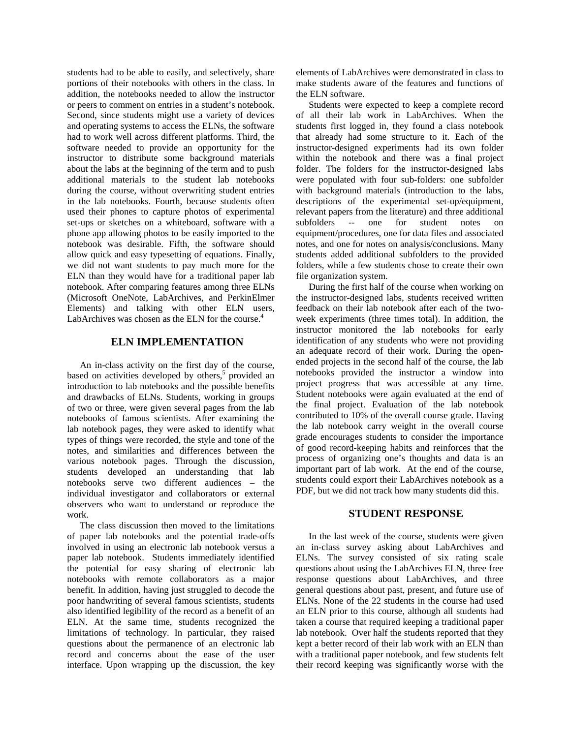students had to be able to easily, and selectively, share portions of their notebooks with others in the class. In addition, the notebooks needed to allow the instructor or peers to comment on entries in a student's notebook. Second, since students might use a variety of devices and operating systems to access the ELNs, the software had to work well across different platforms. Third, the software needed to provide an opportunity for the instructor to distribute some background materials about the labs at the beginning of the term and to push additional materials to the student lab notebooks during the course, without overwriting student entries in the lab notebooks. Fourth, because students often used their phones to capture photos of experimental set-ups or sketches on a whiteboard, software with a phone app allowing photos to be easily imported to the notebook was desirable. Fifth, the software should allow quick and easy typesetting of equations. Finally, we did not want students to pay much more for the ELN than they would have for a traditional paper lab notebook. After comparing features among three ELNs (Microsoft OneNote, LabArchives, and PerkinElmer Elements) and talking with other ELN users, LabArchives was chosen as the ELN for the course.<sup>4</sup>

#### **ELN IMPLEMENTATION**

An in-class activity on the first day of the course, based on activities developed by others,<sup>5</sup> provided an introduction to lab notebooks and the possible benefits and drawbacks of ELNs. Students, working in groups of two or three, were given several pages from the lab notebooks of famous scientists. After examining the lab notebook pages, they were asked to identify what types of things were recorded, the style and tone of the notes, and similarities and differences between the various notebook pages. Through the discussion, students developed an understanding that lab notebooks serve two different audiences – the individual investigator and collaborators or external observers who want to understand or reproduce the work.

The class discussion then moved to the limitations of paper lab notebooks and the potential trade-offs involved in using an electronic lab notebook versus a paper lab notebook. Students immediately identified the potential for easy sharing of electronic lab notebooks with remote collaborators as a major benefit. In addition, having just struggled to decode the poor handwriting of several famous scientists, students also identified legibility of the record as a benefit of an ELN. At the same time, students recognized the limitations of technology. In particular, they raised questions about the permanence of an electronic lab record and concerns about the ease of the user interface. Upon wrapping up the discussion, the key

elements of LabArchives were demonstrated in class to make students aware of the features and functions of the ELN software.

Students were expected to keep a complete record of all their lab work in LabArchives. When the students first logged in, they found a class notebook that already had some structure to it. Each of the instructor-designed experiments had its own folder within the notebook and there was a final project folder. The folders for the instructor-designed labs were populated with four sub-folders: one subfolder with background materials (introduction to the labs, descriptions of the experimental set-up/equipment, relevant papers from the literature) and three additional subfolders -- one for student notes on equipment/procedures, one for data files and associated notes, and one for notes on analysis/conclusions. Many students added additional subfolders to the provided folders, while a few students chose to create their own file organization system.

During the first half of the course when working on the instructor-designed labs, students received written feedback on their lab notebook after each of the twoweek experiments (three times total). In addition, the instructor monitored the lab notebooks for early identification of any students who were not providing an adequate record of their work. During the openended projects in the second half of the course, the lab notebooks provided the instructor a window into project progress that was accessible at any time. Student notebooks were again evaluated at the end of the final project. Evaluation of the lab notebook contributed to 10% of the overall course grade. Having the lab notebook carry weight in the overall course grade encourages students to consider the importance of good record-keeping habits and reinforces that the process of organizing one's thoughts and data is an important part of lab work. At the end of the course, students could export their LabArchives notebook as a PDF, but we did not track how many students did this.

## **STUDENT RESPONSE**

In the last week of the course, students were given an in-class survey asking about LabArchives and ELNs. The survey consisted of six rating scale questions about using the LabArchives ELN, three free response questions about LabArchives, and three general questions about past, present, and future use of ELNs. None of the 22 students in the course had used an ELN prior to this course, although all students had taken a course that required keeping a traditional paper lab notebook. Over half the students reported that they kept a better record of their lab work with an ELN than with a traditional paper notebook, and few students felt their record keeping was significantly worse with the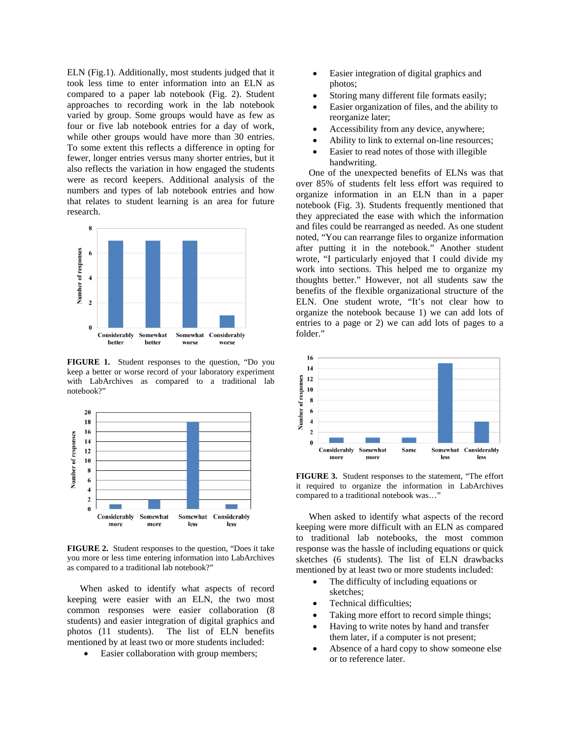ELN (Fig.1). Additionally, most students judged that it took less time to enter information into an ELN as compared to a paper lab notebook (Fig. 2). Student approaches to recording work in the lab notebook varied by group. Some groups would have as few as four or five lab notebook entries for a day of work, while other groups would have more than 30 entries. To some extent this reflects a difference in opting for fewer, longer entries versus many shorter entries, but it also reflects the variation in how engaged the students were as record keepers. Additional analysis of the numbers and types of lab notebook entries and how that relates to student learning is an area for future research.



**FIGURE 1.** Student responses to the question, "Do you keep a better or worse record of your laboratory experiment with LabArchives as compared to a traditional lab notebook?"



**FIGURE 2.** Student responses to the question, "Does it take you more or less time entering information into LabArchives as compared to a traditional lab notebook?"

When asked to identify what aspects of record keeping were easier with an ELN, the two most common responses were easier collaboration (8 students) and easier integration of digital graphics and photos (11 students). The list of ELN benefits mentioned by at least two or more students included:

• Easier collaboration with group members;

- Easier integration of digital graphics and photos;
- Storing many different file formats easily;
- Easier organization of files, and the ability to reorganize later;
- Accessibility from any device, anywhere;
- Ability to link to external on-line resources;
- Easier to read notes of those with illegible handwriting.

One of the unexpected benefits of ELNs was that over 85% of students felt less effort was required to organize information in an ELN than in a paper notebook (Fig. 3). Students frequently mentioned that they appreciated the ease with which the information and files could be rearranged as needed. As one student noted, "You can rearrange files to organize information after putting it in the notebook." Another student wrote, "I particularly enjoyed that I could divide my work into sections. This helped me to organize my thoughts better." However, not all students saw the benefits of the flexible organizational structure of the ELN. One student wrote, "It's not clear how to organize the notebook because 1) we can add lots of entries to a page or 2) we can add lots of pages to a folder."



**FIGURE 3.** Student responses to the statement, "The effort it required to organize the information in LabArchives compared to a traditional notebook was…"

When asked to identify what aspects of the record keeping were more difficult with an ELN as compared to traditional lab notebooks, the most common response was the hassle of including equations or quick sketches (6 students). The list of ELN drawbacks mentioned by at least two or more students included:

- The difficulty of including equations or sketches;
- Technical difficulties;
- Taking more effort to record simple things;
- Having to write notes by hand and transfer them later, if a computer is not present;
- Absence of a hard copy to show someone else or to reference later.